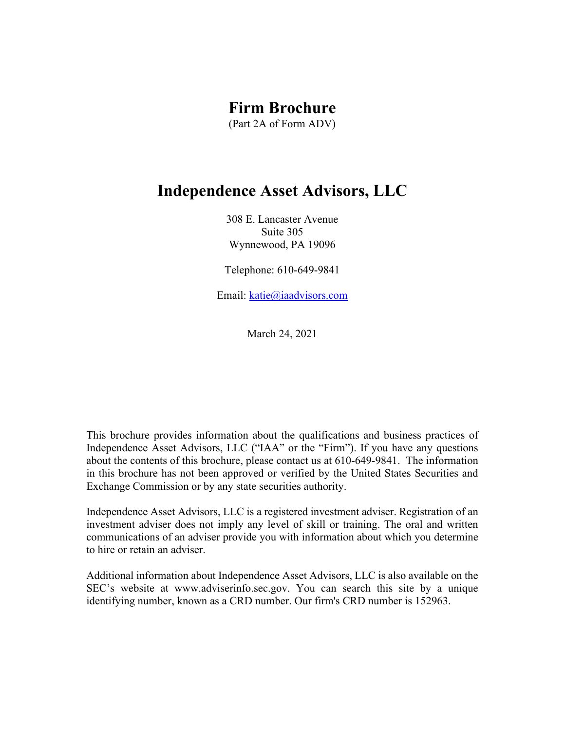# **Firm Brochure**

(Part 2A of Form ADV)

# **Independence Asset Advisors, LLC**

308 E. Lancaster Avenue Suite 305 Wynnewood, PA 19096

Telephone: 610-649-9841

Email: katie@iaadvisors.com

March 24, 2021

This brochure provides information about the qualifications and business practices of Independence Asset Advisors, LLC ("IAA" or the "Firm"). If you have any questions about the contents of this brochure, please contact us at 610-649-9841. The information in this brochure has not been approved or verified by the United States Securities and Exchange Commission or by any state securities authority.

Independence Asset Advisors, LLC is a registered investment adviser. Registration of an investment adviser does not imply any level of skill or training. The oral and written communications of an adviser provide you with information about which you determine to hire or retain an adviser.

Additional information about Independence Asset Advisors, LLC is also available on the SEC's website at www.adviserinfo.sec.gov. You can search this site by a unique identifying number, known as a CRD number. Our firm's CRD number is 152963.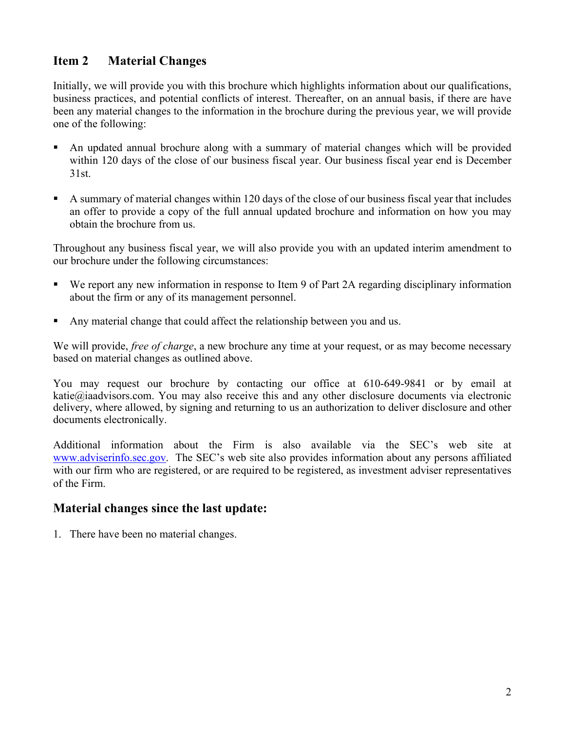## <span id="page-1-0"></span>**Item 2 Material Changes**

Initially, we will provide you with this brochure which highlights information about our qualifications, business practices, and potential conflicts of interest. Thereafter, on an annual basis, if there are have been any material changes to the information in the brochure during the previous year, we will provide one of the following:

- An updated annual brochure along with a summary of material changes which will be provided within 120 days of the close of our business fiscal year. Our business fiscal year end is December 31st.
- A summary of material changes within 120 days of the close of our business fiscal year that includes an offer to provide a copy of the full annual updated brochure and information on how you may obtain the brochure from us.

Throughout any business fiscal year, we will also provide you with an updated interim amendment to our brochure under the following circumstances:

- We report any new information in response to Item 9 of Part 2A regarding disciplinary information about the firm or any of its management personnel.
- Any material change that could affect the relationship between you and us.

We will provide, *free of charge*, a new brochure any time at your request, or as may become necessary based on material changes as outlined above.

You may request our brochure by contacting our office at 610-649-9841 or by email at katie $@$ iaadvisors.com. You may also receive this and any other disclosure documents via electronic delivery, where allowed, by signing and returning to us an authorization to deliver disclosure and other documents electronically.

Additional information about the Firm is also available via the SEC's web site at www.adviserinfo.sec.gov. The SEC's web site also provides information about any persons affiliated with our firm who are registered, or are required to be registered, as investment adviser representatives of the Firm.

## **Material changes since the last update:**

1. There have been no material changes.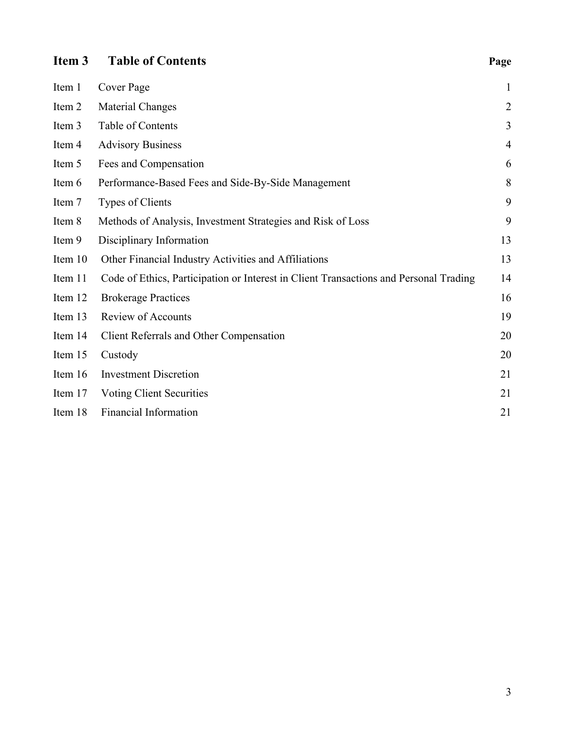# <span id="page-2-0"></span>**Item 3 Table of Contents Page**

| Item 1  | Cover Page                                                                            | $\mathbf{1}$   |
|---------|---------------------------------------------------------------------------------------|----------------|
| Item 2  | Material Changes                                                                      | $\overline{2}$ |
| Item 3  | Table of Contents                                                                     | 3              |
| Item 4  | <b>Advisory Business</b>                                                              | $\overline{4}$ |
| Item 5  | Fees and Compensation                                                                 | 6              |
| Item 6  | Performance-Based Fees and Side-By-Side Management                                    | 8              |
| Item 7  | Types of Clients                                                                      | 9              |
| Item 8  | Methods of Analysis, Investment Strategies and Risk of Loss                           | 9              |
| Item 9  | Disciplinary Information                                                              | 13             |
| Item 10 | Other Financial Industry Activities and Affiliations                                  | 13             |
| Item 11 | Code of Ethics, Participation or Interest in Client Transactions and Personal Trading | 14             |
| Item 12 | <b>Brokerage Practices</b>                                                            | 16             |
| Item 13 | <b>Review of Accounts</b>                                                             | 19             |
| Item 14 | Client Referrals and Other Compensation                                               | 20             |
| Item 15 | Custody                                                                               | 20             |
| Item 16 | <b>Investment Discretion</b>                                                          | 21             |
| Item 17 | <b>Voting Client Securities</b>                                                       | 21             |
| Item 18 | <b>Financial Information</b>                                                          | 21             |
|         |                                                                                       |                |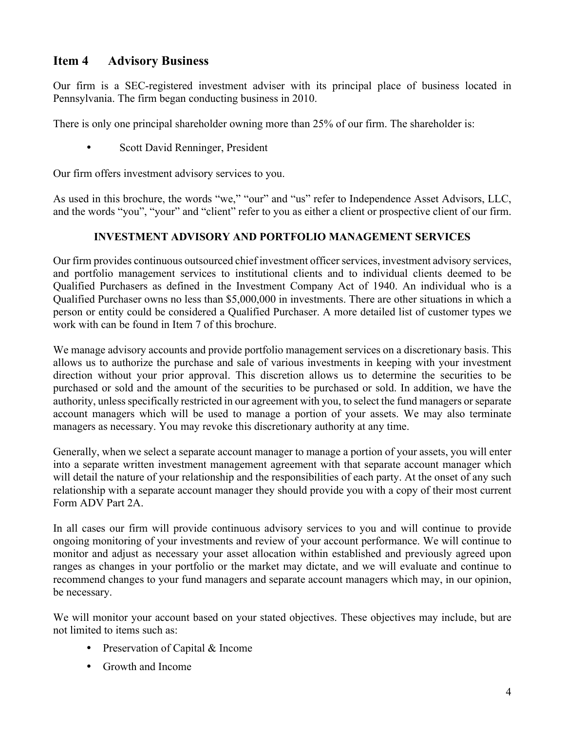## <span id="page-3-0"></span>**Item 4 Advisory Business**

Our firm is a SEC-registered investment adviser with its principal place of business located in Pennsylvania. The firm began conducting business in 2010.

There is only one principal shareholder owning more than 25% of our firm. The shareholder is:

Scott David Renninger, President

Our firm offers investment advisory services to you.

As used in this brochure, the words "we," "our" and "us" refer to Independence Asset Advisors, LLC, and the words "you", "your" and "client" refer to you as either a client or prospective client of our firm.

#### **INVESTMENT ADVISORY AND PORTFOLIO MANAGEMENT SERVICES**

Our firm provides continuous outsourced chief investment officer services, investment advisory services, and portfolio management services to institutional clients and to individual clients deemed to be Qualified Purchasers as defined in the Investment Company Act of 1940. An individual who is a Qualified Purchaser owns no less than \$5,000,000 in investments. There are other situations in which a person or entity could be considered a Qualified Purchaser. A more detailed list of customer types we work with can be found in Item 7 of this brochure.

We manage advisory accounts and provide portfolio management services on a discretionary basis. This allows us to authorize the purchase and sale of various investments in keeping with your investment direction without your prior approval. This discretion allows us to determine the securities to be purchased or sold and the amount of the securities to be purchased or sold. In addition, we have the authority, unless specifically restricted in our agreement with you, to select the fund managers or separate account managers which will be used to manage a portion of your assets. We may also terminate managers as necessary. You may revoke this discretionary authority at any time.

Generally, when we select a separate account manager to manage a portion of your assets, you will enter into a separate written investment management agreement with that separate account manager which will detail the nature of your relationship and the responsibilities of each party. At the onset of any such relationship with a separate account manager they should provide you with a copy of their most current Form ADV Part 2A.

In all cases our firm will provide continuous advisory services to you and will continue to provide ongoing monitoring of your investments and review of your account performance. We will continue to monitor and adjust as necessary your asset allocation within established and previously agreed upon ranges as changes in your portfolio or the market may dictate, and we will evaluate and continue to recommend changes to your fund managers and separate account managers which may, in our opinion, be necessary.

We will monitor your account based on your stated objectives. These objectives may include, but are not limited to items such as:

- Preservation of Capital & Income
- Growth and Income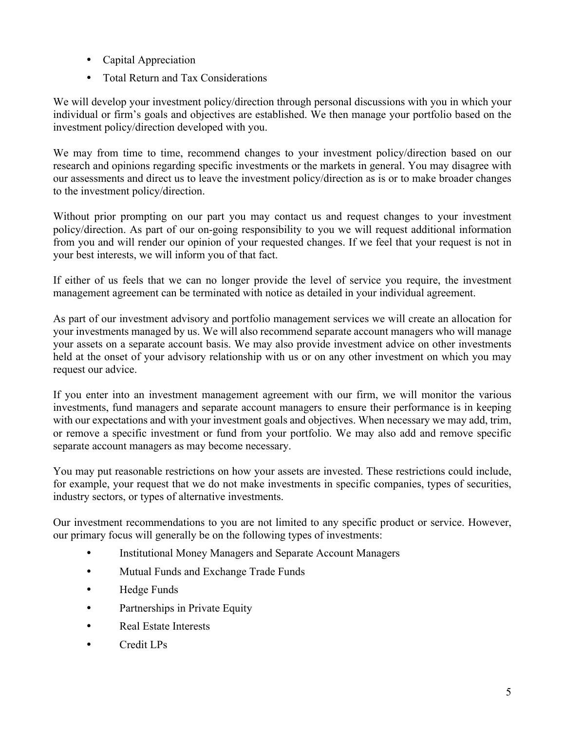- Capital Appreciation
- Total Return and Tax Considerations

We will develop your investment policy/direction through personal discussions with you in which your individual or firm's goals and objectives are established. We then manage your portfolio based on the investment policy/direction developed with you.

We may from time to time, recommend changes to your investment policy/direction based on our research and opinions regarding specific investments or the markets in general. You may disagree with our assessments and direct us to leave the investment policy/direction as is or to make broader changes to the investment policy/direction.

Without prior prompting on our part you may contact us and request changes to your investment policy/direction. As part of our on-going responsibility to you we will request additional information from you and will render our opinion of your requested changes. If we feel that your request is not in your best interests, we will inform you of that fact.

If either of us feels that we can no longer provide the level of service you require, the investment management agreement can be terminated with notice as detailed in your individual agreement.

As part of our investment advisory and portfolio management services we will create an allocation for your investments managed by us. We will also recommend separate account managers who will manage your assets on a separate account basis. We may also provide investment advice on other investments held at the onset of your advisory relationship with us or on any other investment on which you may request our advice.

If you enter into an investment management agreement with our firm, we will monitor the various investments, fund managers and separate account managers to ensure their performance is in keeping with our expectations and with your investment goals and objectives. When necessary we may add, trim, or remove a specific investment or fund from your portfolio. We may also add and remove specific separate account managers as may become necessary.

You may put reasonable restrictions on how your assets are invested. These restrictions could include, for example, your request that we do not make investments in specific companies, types of securities, industry sectors, or types of alternative investments.

Our investment recommendations to you are not limited to any specific product or service. However, our primary focus will generally be on the following types of investments:

- Institutional Money Managers and Separate Account Managers
- Mutual Funds and Exchange Trade Funds
- Hedge Funds
- Partnerships in Private Equity
- Real Estate Interests
- Credit LPs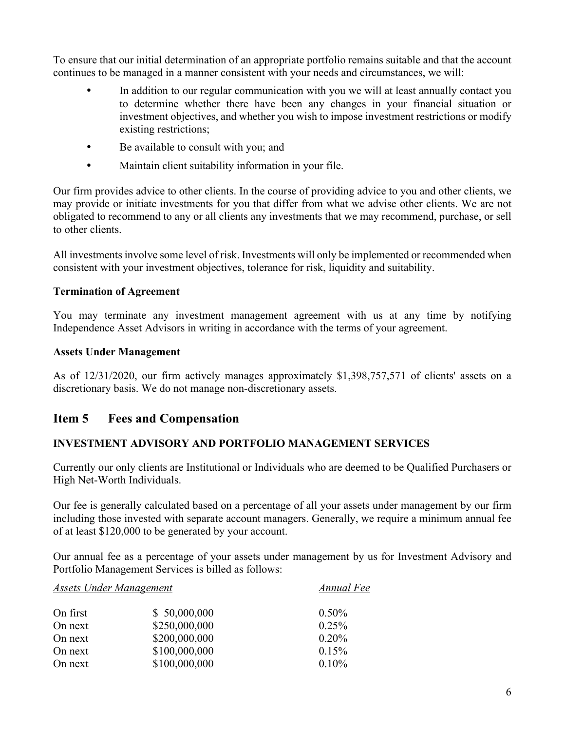To ensure that our initial determination of an appropriate portfolio remains suitable and that the account continues to be managed in a manner consistent with your needs and circumstances, we will:

- In addition to our regular communication with you we will at least annually contact you to determine whether there have been any changes in your financial situation or investment objectives, and whether you wish to impose investment restrictions or modify existing restrictions;
- Be available to consult with you; and
- Maintain client suitability information in your file.

Our firm provides advice to other clients. In the course of providing advice to you and other clients, we may provide or initiate investments for you that differ from what we advise other clients. We are not obligated to recommend to any or all clients any investments that we may recommend, purchase, or sell to other clients.

All investments involve some level of risk. Investments will only be implemented or recommended when consistent with your investment objectives, tolerance for risk, liquidity and suitability.

#### **Termination of Agreement**

You may terminate any investment management agreement with us at any time by notifying Independence Asset Advisors in writing in accordance with the terms of your agreement.

#### **Assets Under Management**

<span id="page-5-0"></span>As of 12/31/2020, our firm actively manages approximately \$1,398,757,571 of clients' assets on a discretionary basis. We do not manage non-discretionary assets.

## **Item 5 Fees and Compensation**

## **INVESTMENT ADVISORY AND PORTFOLIO MANAGEMENT SERVICES**

Currently our only clients are Institutional or Individuals who are deemed to be Qualified Purchasers or High Net-Worth Individuals.

Our fee is generally calculated based on a percentage of all your assets under management by our firm including those invested with separate account managers. Generally, we require a minimum annual fee of at least \$120,000 to be generated by your account.

Our annual fee as a percentage of your assets under management by us for Investment Advisory and Portfolio Management Services is billed as follows:

## *Assets Under Management Annual Fee* On first \$ 50,000,000 0.50% On next \$250,000,000 0.25% On next \$200,000,000 0.20% On next \$100,000,000 0.15% On next \$100,000,000 0.10%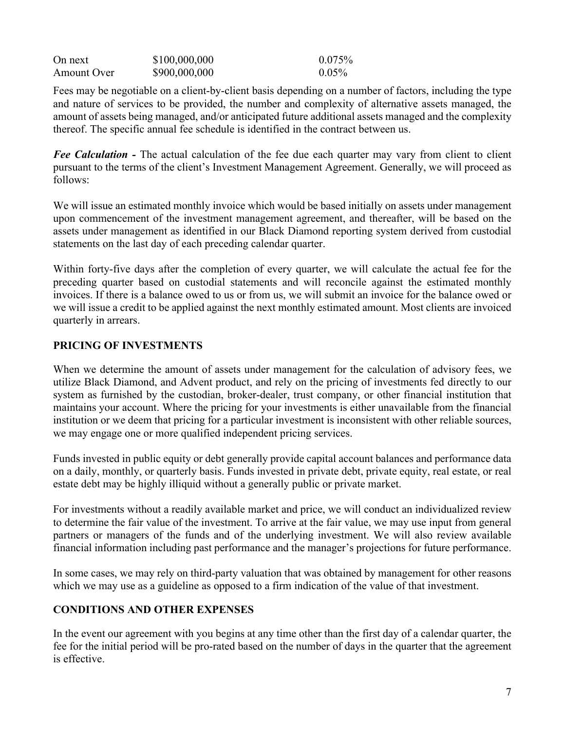| On next     | \$100,000,000 | $0.075\%$ |
|-------------|---------------|-----------|
| Amount Over | \$900,000,000 | $0.05\%$  |

Fees may be negotiable on a client-by-client basis depending on a number of factors, including the type and nature of services to be provided, the number and complexity of alternative assets managed, the amount of assets being managed, and/or anticipated future additional assets managed and the complexity thereof. The specific annual fee schedule is identified in the contract between us.

*Fee Calculation -* The actual calculation of the fee due each quarter may vary from client to client pursuant to the terms of the client's Investment Management Agreement. Generally, we will proceed as follows:

We will issue an estimated monthly invoice which would be based initially on assets under management upon commencement of the investment management agreement, and thereafter, will be based on the assets under management as identified in our Black Diamond reporting system derived from custodial statements on the last day of each preceding calendar quarter.

Within forty-five days after the completion of every quarter, we will calculate the actual fee for the preceding quarter based on custodial statements and will reconcile against the estimated monthly invoices. If there is a balance owed to us or from us, we will submit an invoice for the balance owed or we will issue a credit to be applied against the next monthly estimated amount. Most clients are invoiced quarterly in arrears.

#### **PRICING OF INVESTMENTS**

When we determine the amount of assets under management for the calculation of advisory fees, we utilize Black Diamond, and Advent product, and rely on the pricing of investments fed directly to our system as furnished by the custodian, broker-dealer, trust company, or other financial institution that maintains your account. Where the pricing for your investments is either unavailable from the financial institution or we deem that pricing for a particular investment is inconsistent with other reliable sources, we may engage one or more qualified independent pricing services.

Funds invested in public equity or debt generally provide capital account balances and performance data on a daily, monthly, or quarterly basis. Funds invested in private debt, private equity, real estate, or real estate debt may be highly illiquid without a generally public or private market.

For investments without a readily available market and price, we will conduct an individualized review to determine the fair value of the investment. To arrive at the fair value, we may use input from general partners or managers of the funds and of the underlying investment. We will also review available financial information including past performance and the manager's projections for future performance.

In some cases, we may rely on third-party valuation that was obtained by management for other reasons which we may use as a guideline as opposed to a firm indication of the value of that investment.

#### **CONDITIONS AND OTHER EXPENSES**

In the event our agreement with you begins at any time other than the first day of a calendar quarter, the fee for the initial period will be pro-rated based on the number of days in the quarter that the agreement is effective.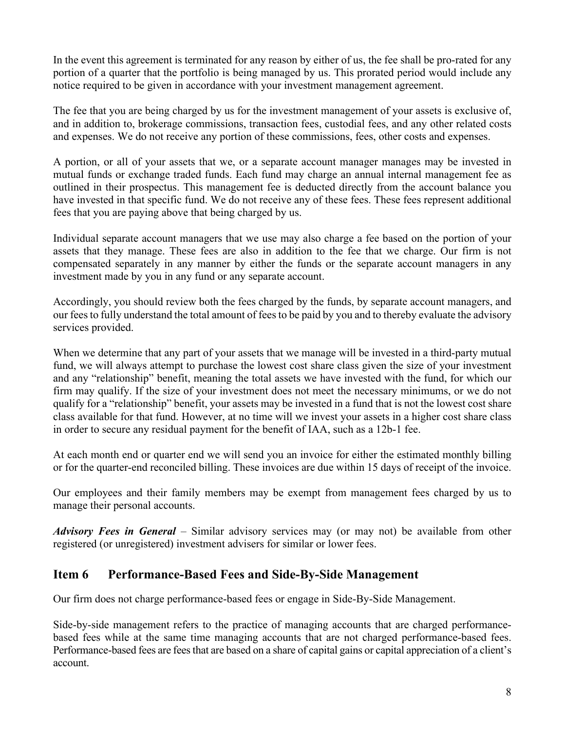In the event this agreement is terminated for any reason by either of us, the fee shall be pro-rated for any portion of a quarter that the portfolio is being managed by us. This prorated period would include any notice required to be given in accordance with your investment management agreement.

The fee that you are being charged by us for the investment management of your assets is exclusive of, and in addition to, brokerage commissions, transaction fees, custodial fees, and any other related costs and expenses. We do not receive any portion of these commissions, fees, other costs and expenses.

A portion, or all of your assets that we, or a separate account manager manages may be invested in mutual funds or exchange traded funds. Each fund may charge an annual internal management fee as outlined in their prospectus. This management fee is deducted directly from the account balance you have invested in that specific fund. We do not receive any of these fees. These fees represent additional fees that you are paying above that being charged by us.

Individual separate account managers that we use may also charge a fee based on the portion of your assets that they manage. These fees are also in addition to the fee that we charge. Our firm is not compensated separately in any manner by either the funds or the separate account managers in any investment made by you in any fund or any separate account.

Accordingly, you should review both the fees charged by the funds, by separate account managers, and our fees to fully understand the total amount of fees to be paid by you and to thereby evaluate the advisory services provided.

When we determine that any part of your assets that we manage will be invested in a third-party mutual fund, we will always attempt to purchase the lowest cost share class given the size of your investment and any "relationship" benefit, meaning the total assets we have invested with the fund, for which our firm may qualify. If the size of your investment does not meet the necessary minimums, or we do not qualify for a "relationship" benefit, your assets may be invested in a fund that is not the lowest cost share class available for that fund. However, at no time will we invest your assets in a higher cost share class in order to secure any residual payment for the benefit of IAA, such as a 12b-1 fee.

At each month end or quarter end we will send you an invoice for either the estimated monthly billing or for the quarter-end reconciled billing. These invoices are due within 15 days of receipt of the invoice.

Our employees and their family members may be exempt from management fees charged by us to manage their personal accounts.

*Advisory Fees in General* – Similar advisory services may (or may not) be available from other registered (or unregistered) investment advisers for similar or lower fees.

## <span id="page-7-0"></span>**Item 6 Performance-Based Fees and Side-By-Side Management**

Our firm does not charge performance-based fees or engage in Side-By-Side Management.

Side-by-side management refers to the practice of managing accounts that are charged performancebased fees while at the same time managing accounts that are not charged performance-based fees. Performance-based fees are fees that are based on a share of capital gains or capital appreciation of a client's account.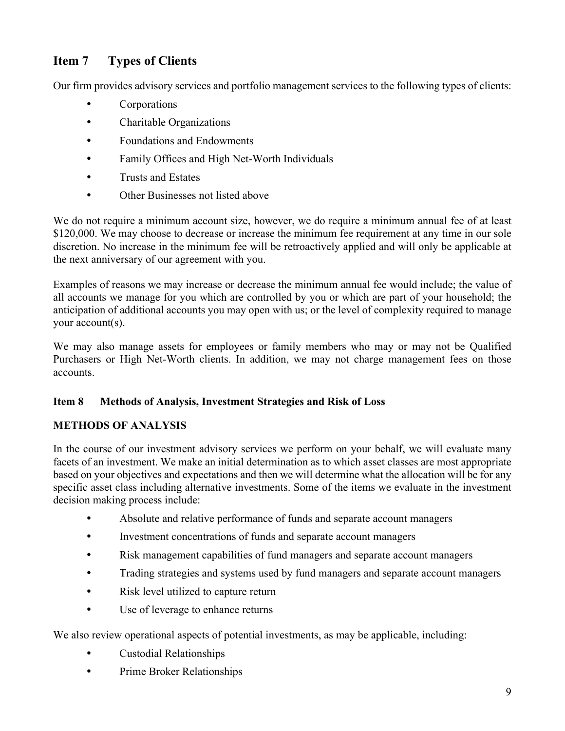# <span id="page-8-0"></span>**Item 7 Types of Clients**

Our firm provides advisory services and portfolio management services to the following types of clients:

- Corporations
- Charitable Organizations
- Foundations and Endowments
- Family Offices and High Net-Worth Individuals
- Trusts and Estates
- Other Businesses not listed above

We do not require a minimum account size, however, we do require a minimum annual fee of at least \$120,000. We may choose to decrease or increase the minimum fee requirement at any time in our sole discretion. No increase in the minimum fee will be retroactively applied and will only be applicable at the next anniversary of our agreement with you.

Examples of reasons we may increase or decrease the minimum annual fee would include; the value of all accounts we manage for you which are controlled by you or which are part of your household; the anticipation of additional accounts you may open with us; or the level of complexity required to manage your account(s).

We may also manage assets for employees or family members who may or may not be Qualified Purchasers or High Net-Worth clients. In addition, we may not charge management fees on those accounts.

#### <span id="page-8-1"></span>**Item 8 Methods of Analysis, Investment Strategies and Risk of Loss**

#### **METHODS OF ANALYSIS**

In the course of our investment advisory services we perform on your behalf, we will evaluate many facets of an investment. We make an initial determination as to which asset classes are most appropriate based on your objectives and expectations and then we will determine what the allocation will be for any specific asset class including alternative investments. Some of the items we evaluate in the investment decision making process include:

- Absolute and relative performance of funds and separate account managers
- Investment concentrations of funds and separate account managers
- Risk management capabilities of fund managers and separate account managers
- Trading strategies and systems used by fund managers and separate account managers
- Risk level utilized to capture return
- Use of leverage to enhance returns

We also review operational aspects of potential investments, as may be applicable, including:

- Custodial Relationships
- Prime Broker Relationships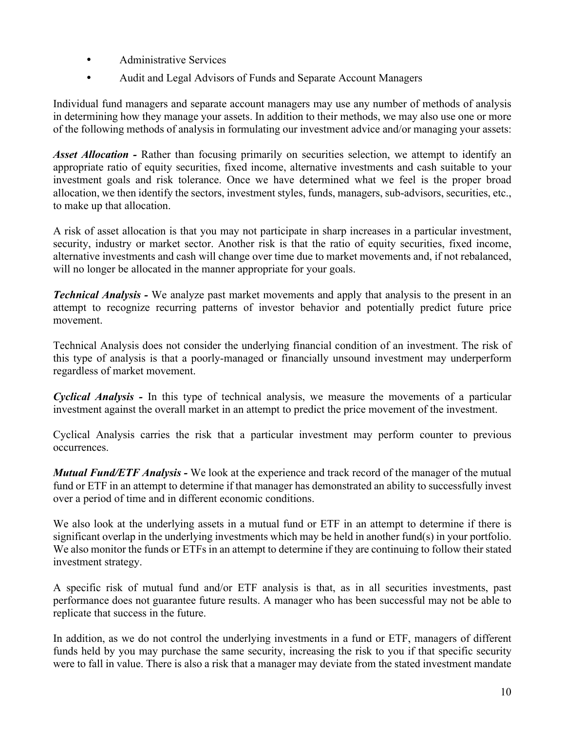- Administrative Services
- Audit and Legal Advisors of Funds and Separate Account Managers

Individual fund managers and separate account managers may use any number of methods of analysis in determining how they manage your assets. In addition to their methods, we may also use one or more of the following methods of analysis in formulating our investment advice and/or managing your assets:

*Asset Allocation -* Rather than focusing primarily on securities selection, we attempt to identify an appropriate ratio of equity securities, fixed income, alternative investments and cash suitable to your investment goals and risk tolerance. Once we have determined what we feel is the proper broad allocation, we then identify the sectors, investment styles, funds, managers, sub-advisors, securities, etc., to make up that allocation.

A risk of asset allocation is that you may not participate in sharp increases in a particular investment, security, industry or market sector. Another risk is that the ratio of equity securities, fixed income, alternative investments and cash will change over time due to market movements and, if not rebalanced, will no longer be allocated in the manner appropriate for your goals.

*Technical Analysis -* We analyze past market movements and apply that analysis to the present in an attempt to recognize recurring patterns of investor behavior and potentially predict future price movement.

Technical Analysis does not consider the underlying financial condition of an investment. The risk of this type of analysis is that a poorly-managed or financially unsound investment may underperform regardless of market movement.

*Cyclical Analysis -* In this type of technical analysis, we measure the movements of a particular investment against the overall market in an attempt to predict the price movement of the investment.

Cyclical Analysis carries the risk that a particular investment may perform counter to previous occurrences.

*Mutual Fund/ETF Analysis -* We look at the experience and track record of the manager of the mutual fund or ETF in an attempt to determine if that manager has demonstrated an ability to successfully invest over a period of time and in different economic conditions.

We also look at the underlying assets in a mutual fund or ETF in an attempt to determine if there is significant overlap in the underlying investments which may be held in another fund(s) in your portfolio. We also monitor the funds or ETFs in an attempt to determine if they are continuing to follow their stated investment strategy.

A specific risk of mutual fund and/or ETF analysis is that, as in all securities investments, past performance does not guarantee future results. A manager who has been successful may not be able to replicate that success in the future.

In addition, as we do not control the underlying investments in a fund or ETF, managers of different funds held by you may purchase the same security, increasing the risk to you if that specific security were to fall in value. There is also a risk that a manager may deviate from the stated investment mandate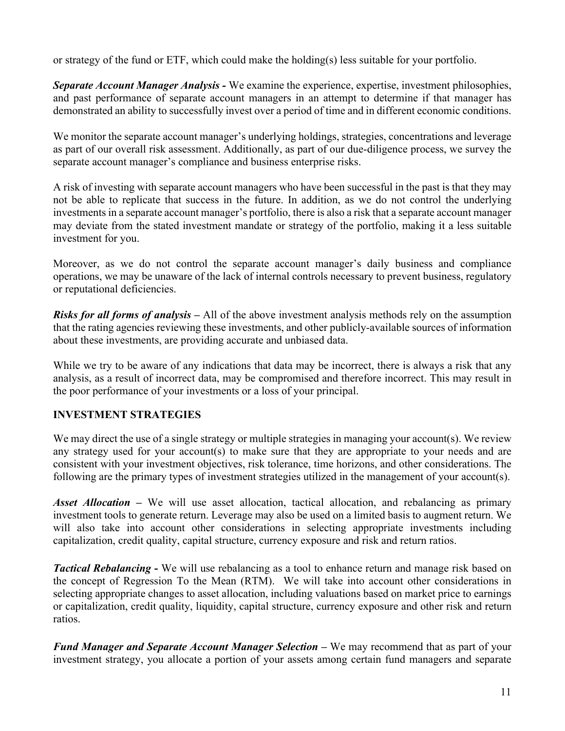or strategy of the fund or ETF, which could make the holding(s) less suitable for your portfolio.

*Separate Account Manager Analysis -* We examine the experience, expertise, investment philosophies, and past performance of separate account managers in an attempt to determine if that manager has demonstrated an ability to successfully invest over a period of time and in different economic conditions.

We monitor the separate account manager's underlying holdings, strategies, concentrations and leverage as part of our overall risk assessment. Additionally, as part of our due-diligence process, we survey the separate account manager's compliance and business enterprise risks.

A risk of investing with separate account managers who have been successful in the past is that they may not be able to replicate that success in the future. In addition, as we do not control the underlying investments in a separate account manager's portfolio, there is also a risk that a separate account manager may deviate from the stated investment mandate or strategy of the portfolio, making it a less suitable investment for you.

Moreover, as we do not control the separate account manager's daily business and compliance operations, we may be unaware of the lack of internal controls necessary to prevent business, regulatory or reputational deficiencies.

*Risks for all forms of analysis –* All of the above investment analysis methods rely on the assumption that the rating agencies reviewing these investments, and other publicly-available sources of information about these investments, are providing accurate and unbiased data.

While we try to be aware of any indications that data may be incorrect, there is always a risk that any analysis, as a result of incorrect data, may be compromised and therefore incorrect. This may result in the poor performance of your investments or a loss of your principal.

## **INVESTMENT STRATEGIES**

We may direct the use of a single strategy or multiple strategies in managing your account(s). We review any strategy used for your account(s) to make sure that they are appropriate to your needs and are consistent with your investment objectives, risk tolerance, time horizons, and other considerations. The following are the primary types of investment strategies utilized in the management of your account(s).

*Asset Allocation –* We will use asset allocation, tactical allocation, and rebalancing as primary investment tools to generate return. Leverage may also be used on a limited basis to augment return. We will also take into account other considerations in selecting appropriate investments including capitalization, credit quality, capital structure, currency exposure and risk and return ratios.

*Tactical Rebalancing* **-** We will use rebalancing as a tool to enhance return and manage risk based on the concept of Regression To the Mean (RTM). We will take into account other considerations in selecting appropriate changes to asset allocation, including valuations based on market price to earnings or capitalization, credit quality, liquidity, capital structure, currency exposure and other risk and return ratios.

*Fund Manager and Separate Account Manager Selection –* We may recommend that as part of your investment strategy, you allocate a portion of your assets among certain fund managers and separate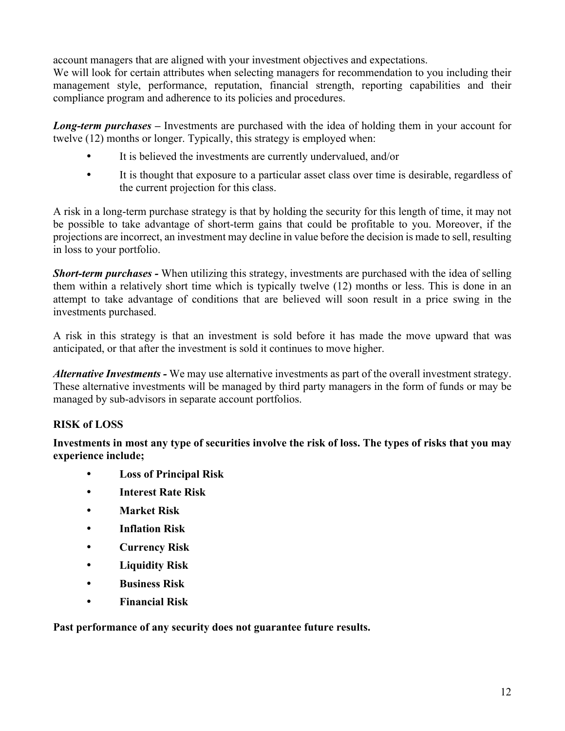account managers that are aligned with your investment objectives and expectations.

We will look for certain attributes when selecting managers for recommendation to you including their management style, performance, reputation, financial strength, reporting capabilities and their compliance program and adherence to its policies and procedures.

*Long-term purchases –* Investments are purchased with the idea of holding them in your account for twelve (12) months or longer. Typically, this strategy is employed when:

- It is believed the investments are currently undervalued, and/or
- It is thought that exposure to a particular asset class over time is desirable, regardless of the current projection for this class.

A risk in a long-term purchase strategy is that by holding the security for this length of time, it may not be possible to take advantage of short-term gains that could be profitable to you. Moreover, if the projections are incorrect, an investment may decline in value before the decision is made to sell, resulting in loss to your portfolio.

*Short-term purchases -* When utilizing this strategy, investments are purchased with the idea of selling them within a relatively short time which is typically twelve (12) months or less. This is done in an attempt to take advantage of conditions that are believed will soon result in a price swing in the investments purchased.

A risk in this strategy is that an investment is sold before it has made the move upward that was anticipated, or that after the investment is sold it continues to move higher.

*Alternative Investments -* We may use alternative investments as part of the overall investment strategy. These alternative investments will be managed by third party managers in the form of funds or may be managed by sub-advisors in separate account portfolios.

## **RISK of LOSS**

**Investments in most any type of securities involve the risk of loss. The types of risks that you may experience include;** 

- **Loss of Principal Risk**
- **Interest Rate Risk**
- **Market Risk**
- **Inflation Risk**
- **Currency Risk**
- **Liquidity Risk**
- **Business Risk**
- **Financial Risk**

**Past performance of any security does not guarantee future results.**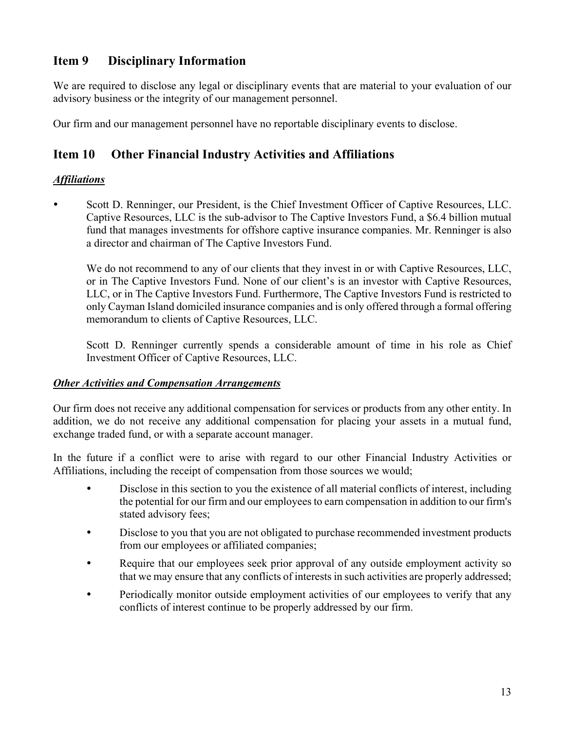## <span id="page-12-0"></span>**Item 9 Disciplinary Information**

We are required to disclose any legal or disciplinary events that are material to your evaluation of our advisory business or the integrity of our management personnel.

Our firm and our management personnel have no reportable disciplinary events to disclose.

# <span id="page-12-1"></span>**Item 10 Other Financial Industry Activities and Affiliations**

## *Affiliations*

 Scott D. Renninger, our President, is the Chief Investment Officer of Captive Resources, LLC. Captive Resources, LLC is the sub-advisor to The Captive Investors Fund, a \$6.4 billion mutual fund that manages investments for offshore captive insurance companies. Mr. Renninger is also a director and chairman of The Captive Investors Fund.

We do not recommend to any of our clients that they invest in or with Captive Resources, LLC, or in The Captive Investors Fund. None of our client's is an investor with Captive Resources, LLC, or in The Captive Investors Fund. Furthermore, The Captive Investors Fund is restricted to only Cayman Island domiciled insurance companies and is only offered through a formal offering memorandum to clients of Captive Resources, LLC.

Scott D. Renninger currently spends a considerable amount of time in his role as Chief Investment Officer of Captive Resources, LLC.

## *Other Activities and Compensation Arrangements*

Our firm does not receive any additional compensation for services or products from any other entity. In addition, we do not receive any additional compensation for placing your assets in a mutual fund, exchange traded fund, or with a separate account manager.

In the future if a conflict were to arise with regard to our other Financial Industry Activities or Affiliations, including the receipt of compensation from those sources we would;

- Disclose in this section to you the existence of all material conflicts of interest, including the potential for our firm and our employees to earn compensation in addition to our firm's stated advisory fees;
- Disclose to you that you are not obligated to purchase recommended investment products from our employees or affiliated companies;
- Require that our employees seek prior approval of any outside employment activity so that we may ensure that any conflicts of interests in such activities are properly addressed;
- Periodically monitor outside employment activities of our employees to verify that any conflicts of interest continue to be properly addressed by our firm.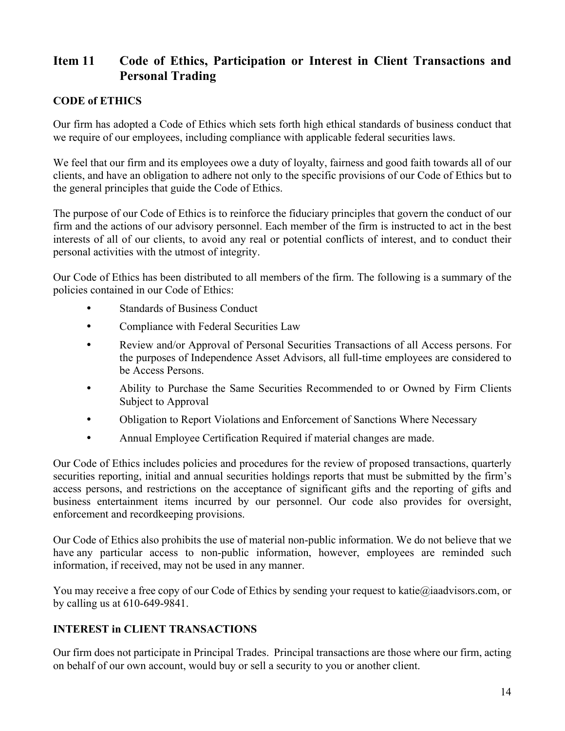# <span id="page-13-0"></span>**Item 11 Code of Ethics, Participation or Interest in Client Transactions and Personal Trading**

#### **CODE of ETHICS**

Our firm has adopted a Code of Ethics which sets forth high ethical standards of business conduct that we require of our employees, including compliance with applicable federal securities laws.

We feel that our firm and its employees owe a duty of loyalty, fairness and good faith towards all of our clients, and have an obligation to adhere not only to the specific provisions of our Code of Ethics but to the general principles that guide the Code of Ethics.

The purpose of our Code of Ethics is to reinforce the fiduciary principles that govern the conduct of our firm and the actions of our advisory personnel. Each member of the firm is instructed to act in the best interests of all of our clients, to avoid any real or potential conflicts of interest, and to conduct their personal activities with the utmost of integrity.

Our Code of Ethics has been distributed to all members of the firm. The following is a summary of the policies contained in our Code of Ethics:

- Standards of Business Conduct
- Compliance with Federal Securities Law
- Review and/or Approval of Personal Securities Transactions of all Access persons. For the purposes of Independence Asset Advisors, all full-time employees are considered to be Access Persons.
- Ability to Purchase the Same Securities Recommended to or Owned by Firm Clients Subject to Approval
- Obligation to Report Violations and Enforcement of Sanctions Where Necessary
- Annual Employee Certification Required if material changes are made.

Our Code of Ethics includes policies and procedures for the review of proposed transactions, quarterly securities reporting, initial and annual securities holdings reports that must be submitted by the firm's access persons, and restrictions on the acceptance of significant gifts and the reporting of gifts and business entertainment items incurred by our personnel. Our code also provides for oversight, enforcement and recordkeeping provisions.

Our Code of Ethics also prohibits the use of material non-public information. We do not believe that we have any particular access to non-public information, however, employees are reminded such information, if received, may not be used in any manner.

You may receive a free copy of our Code of Ethics by sending your request to katie@iaadvisors.com, or by calling us at 610-649-9841.

## **INTEREST in CLIENT TRANSACTIONS**

Our firm does not participate in Principal Trades. Principal transactions are those where our firm, acting on behalf of our own account, would buy or sell a security to you or another client.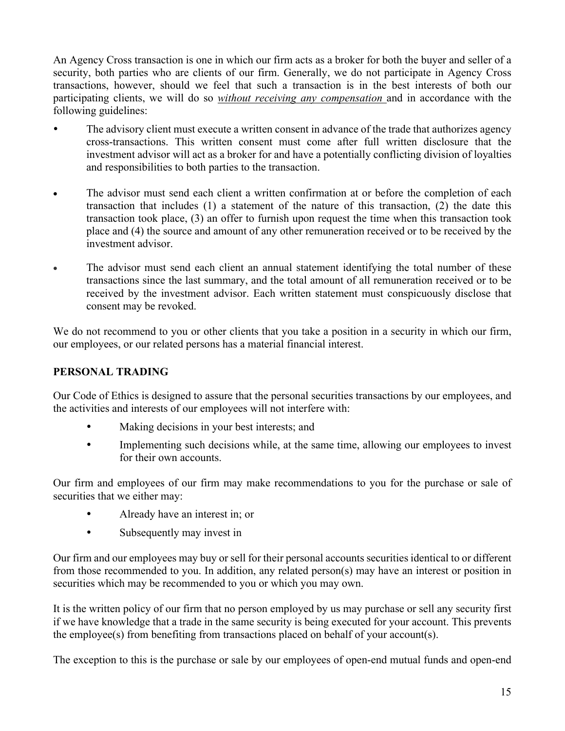An Agency Cross transaction is one in which our firm acts as a broker for both the buyer and seller of a security, both parties who are clients of our firm. Generally, we do not participate in Agency Cross transactions, however, should we feel that such a transaction is in the best interests of both our participating clients, we will do so *without receiving any compensation* and in accordance with the following guidelines:

- The advisory client must execute a written consent in advance of the trade that authorizes agency cross-transactions. This written consent must come after full written disclosure that the investment advisor will act as a broker for and have a potentially conflicting division of loyalties and responsibilities to both parties to the transaction.
- The advisor must send each client a written confirmation at or before the completion of each transaction that includes (1) a statement of the nature of this transaction, (2) the date this transaction took place, (3) an offer to furnish upon request the time when this transaction took place and (4) the source and amount of any other remuneration received or to be received by the investment advisor.
- The advisor must send each client an annual statement identifying the total number of these transactions since the last summary, and the total amount of all remuneration received or to be received by the investment advisor. Each written statement must conspicuously disclose that consent may be revoked.

We do not recommend to you or other clients that you take a position in a security in which our firm, our employees, or our related persons has a material financial interest.

## **PERSONAL TRADING**

Our Code of Ethics is designed to assure that the personal securities transactions by our employees, and the activities and interests of our employees will not interfere with:

- Making decisions in your best interests; and
- Implementing such decisions while, at the same time, allowing our employees to invest for their own accounts.

Our firm and employees of our firm may make recommendations to you for the purchase or sale of securities that we either may:

- Already have an interest in; or
- Subsequently may invest in

Our firm and our employees may buy or sell for their personal accounts securities identical to or different from those recommended to you. In addition, any related person(s) may have an interest or position in securities which may be recommended to you or which you may own.

It is the written policy of our firm that no person employed by us may purchase or sell any security first if we have knowledge that a trade in the same security is being executed for your account. This prevents the employee(s) from benefiting from transactions placed on behalf of your account(s).

The exception to this is the purchase or sale by our employees of open-end mutual funds and open-end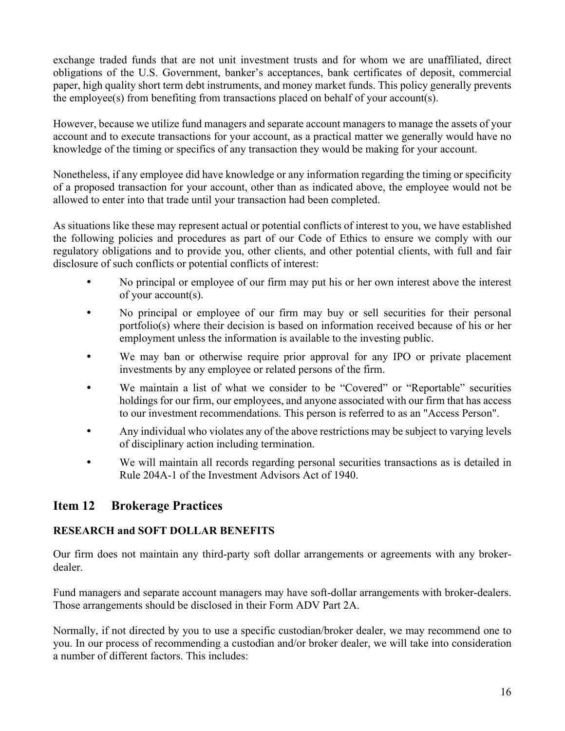exchange traded funds that are not unit investment trusts and for whom we are unaffiliated, direct obligations of the U.S. Government, banker's acceptances, bank certificates of deposit, commercial paper, high quality short term debt instruments, and money market funds. This policy generally prevents the employee(s) from benefiting from transactions placed on behalf of your account(s).

However, because we utilize fund managers and separate account managers to manage the assets of your account and to execute transactions for your account, as a practical matter we generally would have no knowledge of the timing or specifics of any transaction they would be making for your account.

Nonetheless, if any employee did have knowledge or any information regarding the timing or specificity of a proposed transaction for your account, other than as indicated above, the employee would not be allowed to enter into that trade until your transaction had been completed.

As situations like these may represent actual or potential conflicts of interest to you, we have established the following policies and procedures as part of our Code of Ethics to ensure we comply with our regulatory obligations and to provide you, other clients, and other potential clients, with full and fair disclosure of such conflicts or potential conflicts of interest:

- No principal or employee of our firm may put his or her own interest above the interest of your account(s).
- No principal or employee of our firm may buy or sell securities for their personal portfolio(s) where their decision is based on information received because of his or her employment unless the information is available to the investing public.
- We may ban or otherwise require prior approval for any IPO or private placement investments by any employee or related persons of the firm.
- We maintain a list of what we consider to be "Covered" or "Reportable" securities holdings for our firm, our employees, and anyone associated with our firm that has access to our investment recommendations. This person is referred to as an "Access Person".
- Any individual who violates any of the above restrictions may be subject to varying levels of disciplinary action including termination.
- We will maintain all records regarding personal securities transactions as is detailed in Rule 204A-1 of the Investment Advisors Act of 1940.

# <span id="page-15-0"></span>**Item 12 Brokerage Practices**

## **RESEARCH and SOFT DOLLAR BENEFITS**

Our firm does not maintain any third-party soft dollar arrangements or agreements with any brokerdealer.

Fund managers and separate account managers may have soft-dollar arrangements with broker-dealers. Those arrangements should be disclosed in their Form ADV Part 2A.

Normally, if not directed by you to use a specific custodian/broker dealer, we may recommend one to you. In our process of recommending a custodian and/or broker dealer, we will take into consideration a number of different factors. This includes: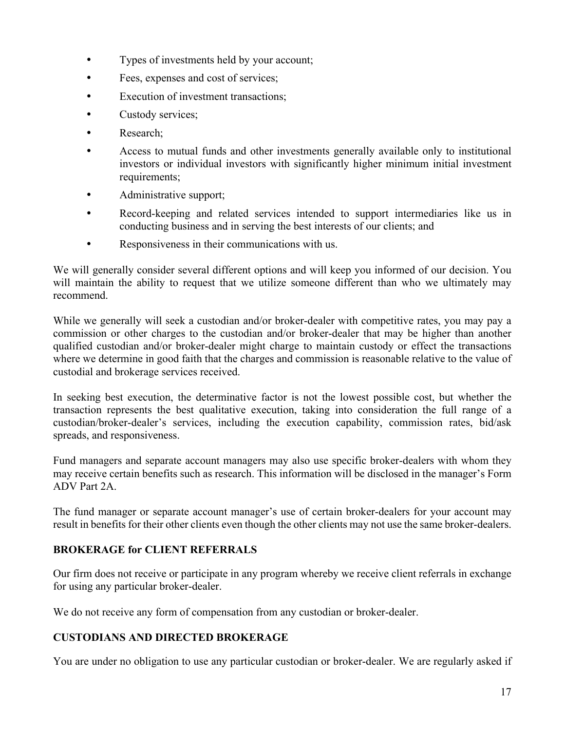- Types of investments held by your account;
- Fees, expenses and cost of services;
- Execution of investment transactions;
- Custody services;
- Research;
- Access to mutual funds and other investments generally available only to institutional investors or individual investors with significantly higher minimum initial investment requirements;
- Administrative support;
- Record-keeping and related services intended to support intermediaries like us in conducting business and in serving the best interests of our clients; and
- Responsiveness in their communications with us.

We will generally consider several different options and will keep you informed of our decision. You will maintain the ability to request that we utilize someone different than who we ultimately may recommend.

While we generally will seek a custodian and/or broker-dealer with competitive rates, you may pay a commission or other charges to the custodian and/or broker-dealer that may be higher than another qualified custodian and/or broker-dealer might charge to maintain custody or effect the transactions where we determine in good faith that the charges and commission is reasonable relative to the value of custodial and brokerage services received.

In seeking best execution, the determinative factor is not the lowest possible cost, but whether the transaction represents the best qualitative execution, taking into consideration the full range of a custodian/broker-dealer's services, including the execution capability, commission rates, bid/ask spreads, and responsiveness.

Fund managers and separate account managers may also use specific broker-dealers with whom they may receive certain benefits such as research. This information will be disclosed in the manager's Form ADV Part 2A.

The fund manager or separate account manager's use of certain broker-dealers for your account may result in benefits for their other clients even though the other clients may not use the same broker-dealers.

## **BROKERAGE for CLIENT REFERRALS**

Our firm does not receive or participate in any program whereby we receive client referrals in exchange for using any particular broker-dealer.

We do not receive any form of compensation from any custodian or broker-dealer.

## **CUSTODIANS AND DIRECTED BROKERAGE**

You are under no obligation to use any particular custodian or broker-dealer. We are regularly asked if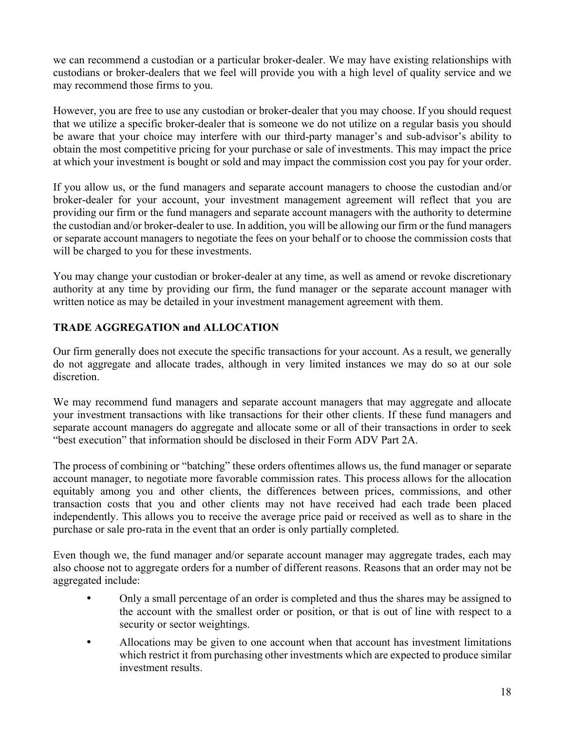we can recommend a custodian or a particular broker-dealer. We may have existing relationships with custodians or broker-dealers that we feel will provide you with a high level of quality service and we may recommend those firms to you.

However, you are free to use any custodian or broker-dealer that you may choose. If you should request that we utilize a specific broker-dealer that is someone we do not utilize on a regular basis you should be aware that your choice may interfere with our third-party manager's and sub-advisor's ability to obtain the most competitive pricing for your purchase or sale of investments. This may impact the price at which your investment is bought or sold and may impact the commission cost you pay for your order.

If you allow us, or the fund managers and separate account managers to choose the custodian and/or broker-dealer for your account, your investment management agreement will reflect that you are providing our firm or the fund managers and separate account managers with the authority to determine the custodian and/or broker-dealer to use. In addition, you will be allowing our firm or the fund managers or separate account managers to negotiate the fees on your behalf or to choose the commission costs that will be charged to you for these investments.

You may change your custodian or broker-dealer at any time, as well as amend or revoke discretionary authority at any time by providing our firm, the fund manager or the separate account manager with written notice as may be detailed in your investment management agreement with them.

## **TRADE AGGREGATION and ALLOCATION**

Our firm generally does not execute the specific transactions for your account. As a result, we generally do not aggregate and allocate trades, although in very limited instances we may do so at our sole discretion.

We may recommend fund managers and separate account managers that may aggregate and allocate your investment transactions with like transactions for their other clients. If these fund managers and separate account managers do aggregate and allocate some or all of their transactions in order to seek "best execution" that information should be disclosed in their Form ADV Part 2A.

The process of combining or "batching" these orders oftentimes allows us, the fund manager or separate account manager, to negotiate more favorable commission rates. This process allows for the allocation equitably among you and other clients, the differences between prices, commissions, and other transaction costs that you and other clients may not have received had each trade been placed independently. This allows you to receive the average price paid or received as well as to share in the purchase or sale pro-rata in the event that an order is only partially completed.

Even though we, the fund manager and/or separate account manager may aggregate trades, each may also choose not to aggregate orders for a number of different reasons. Reasons that an order may not be aggregated include:

- Only a small percentage of an order is completed and thus the shares may be assigned to the account with the smallest order or position, or that is out of line with respect to a security or sector weightings.
- Allocations may be given to one account when that account has investment limitations which restrict it from purchasing other investments which are expected to produce similar investment results.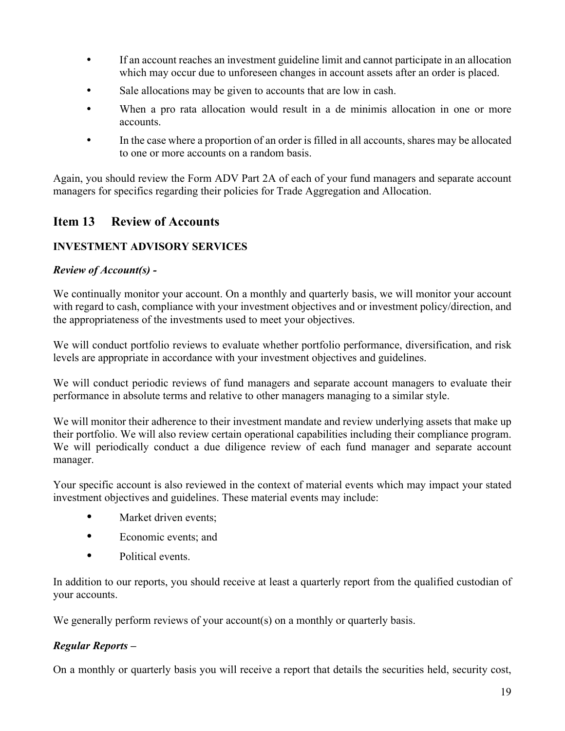- If an account reaches an investment guideline limit and cannot participate in an allocation which may occur due to unforeseen changes in account assets after an order is placed.
- Sale allocations may be given to accounts that are low in cash.
- When a pro rata allocation would result in a de minimis allocation in one or more accounts.
- In the case where a proportion of an order is filled in all accounts, shares may be allocated to one or more accounts on a random basis.

Again, you should review the Form ADV Part 2A of each of your fund managers and separate account managers for specifics regarding their policies for Trade Aggregation and Allocation.

## <span id="page-18-0"></span>**Item 13 Review of Accounts**

## **INVESTMENT ADVISORY SERVICES**

#### *Review of Account(s) -*

We continually monitor your account. On a monthly and quarterly basis, we will monitor your account with regard to cash, compliance with your investment objectives and or investment policy/direction, and the appropriateness of the investments used to meet your objectives.

We will conduct portfolio reviews to evaluate whether portfolio performance, diversification, and risk levels are appropriate in accordance with your investment objectives and guidelines.

We will conduct periodic reviews of fund managers and separate account managers to evaluate their performance in absolute terms and relative to other managers managing to a similar style.

We will monitor their adherence to their investment mandate and review underlying assets that make up their portfolio. We will also review certain operational capabilities including their compliance program. We will periodically conduct a due diligence review of each fund manager and separate account manager.

Your specific account is also reviewed in the context of material events which may impact your stated investment objectives and guidelines. These material events may include:

- Market driven events;
- Economic events; and
- Political events.

In addition to our reports, you should receive at least a quarterly report from the qualified custodian of your accounts.

We generally perform reviews of your account(s) on a monthly or quarterly basis.

#### *Regular Reports –*

On a monthly or quarterly basis you will receive a report that details the securities held, security cost,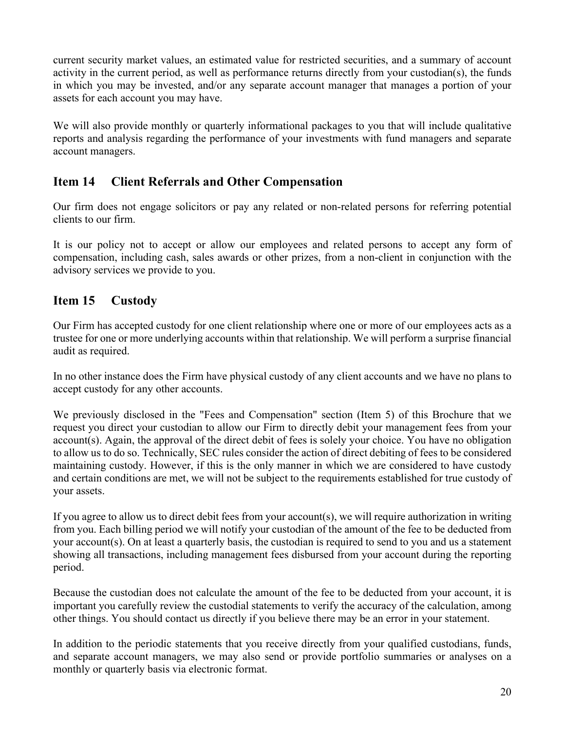current security market values, an estimated value for restricted securities, and a summary of account activity in the current period, as well as performance returns directly from your custodian(s), the funds in which you may be invested, and/or any separate account manager that manages a portion of your assets for each account you may have.

We will also provide monthly or quarterly informational packages to you that will include qualitative reports and analysis regarding the performance of your investments with fund managers and separate account managers.

# <span id="page-19-0"></span>**Item 14 Client Referrals and Other Compensation**

Our firm does not engage solicitors or pay any related or non-related persons for referring potential clients to our firm.

It is our policy not to accept or allow our employees and related persons to accept any form of compensation, including cash, sales awards or other prizes, from a non-client in conjunction with the advisory services we provide to you.

## <span id="page-19-1"></span>**Item 15 Custody**

Our Firm has accepted custody for one client relationship where one or more of our employees acts as a trustee for one or more underlying accounts within that relationship. We will perform a surprise financial audit as required.

In no other instance does the Firm have physical custody of any client accounts and we have no plans to accept custody for any other accounts.

We previously disclosed in the "Fees and Compensation" section (Item 5) of this Brochure that we request you direct your custodian to allow our Firm to directly debit your management fees from your account(s). Again, the approval of the direct debit of fees is solely your choice. You have no obligation to allow us to do so. Technically, SEC rules consider the action of direct debiting of fees to be considered maintaining custody. However, if this is the only manner in which we are considered to have custody and certain conditions are met, we will not be subject to the requirements established for true custody of your assets.

If you agree to allow us to direct debit fees from your account(s), we will require authorization in writing from you. Each billing period we will notify your custodian of the amount of the fee to be deducted from your account(s). On at least a quarterly basis, the custodian is required to send to you and us a statement showing all transactions, including management fees disbursed from your account during the reporting period.

Because the custodian does not calculate the amount of the fee to be deducted from your account, it is important you carefully review the custodial statements to verify the accuracy of the calculation, among other things. You should contact us directly if you believe there may be an error in your statement.

In addition to the periodic statements that you receive directly from your qualified custodians, funds, and separate account managers, we may also send or provide portfolio summaries or analyses on a monthly or quarterly basis via electronic format.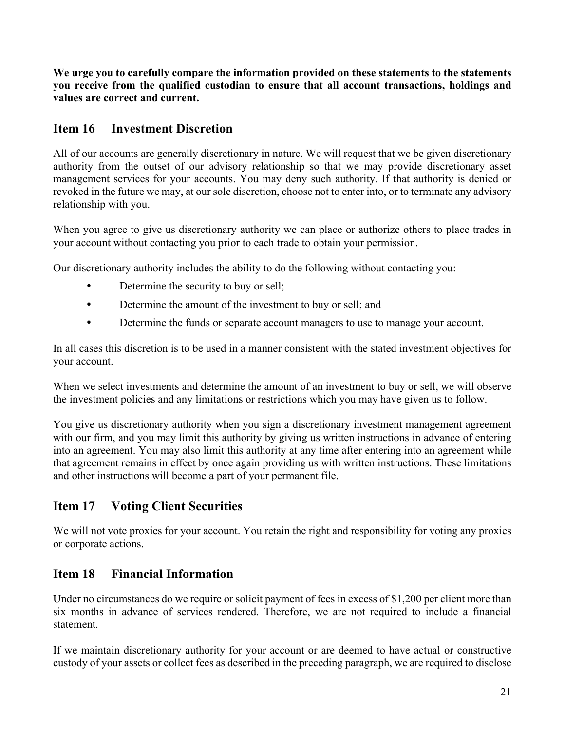**We urge you to carefully compare the information provided on these statements to the statements you receive from the qualified custodian to ensure that all account transactions, holdings and values are correct and current.**

# <span id="page-20-0"></span>**Item 16 Investment Discretion**

All of our accounts are generally discretionary in nature. We will request that we be given discretionary authority from the outset of our advisory relationship so that we may provide discretionary asset management services for your accounts. You may deny such authority. If that authority is denied or revoked in the future we may, at our sole discretion, choose not to enter into, or to terminate any advisory relationship with you.

When you agree to give us discretionary authority we can place or authorize others to place trades in your account without contacting you prior to each trade to obtain your permission.

Our discretionary authority includes the ability to do the following without contacting you:

- Determine the security to buy or sell;
- Determine the amount of the investment to buy or sell; and
- Determine the funds or separate account managers to use to manage your account.

In all cases this discretion is to be used in a manner consistent with the stated investment objectives for your account.

When we select investments and determine the amount of an investment to buy or sell, we will observe the investment policies and any limitations or restrictions which you may have given us to follow.

You give us discretionary authority when you sign a discretionary investment management agreement with our firm, and you may limit this authority by giving us written instructions in advance of entering into an agreement. You may also limit this authority at any time after entering into an agreement while that agreement remains in effect by once again providing us with written instructions. These limitations and other instructions will become a part of your permanent file.

# <span id="page-20-1"></span>**Item 17 Voting Client Securities**

We will not vote proxies for your account. You retain the right and responsibility for voting any proxies or corporate actions.

# <span id="page-20-2"></span>**Item 18 Financial Information**

Under no circumstances do we require or solicit payment of fees in excess of \$1,200 per client more than six months in advance of services rendered. Therefore, we are not required to include a financial statement.

If we maintain discretionary authority for your account or are deemed to have actual or constructive custody of your assets or collect fees as described in the preceding paragraph, we are required to disclose